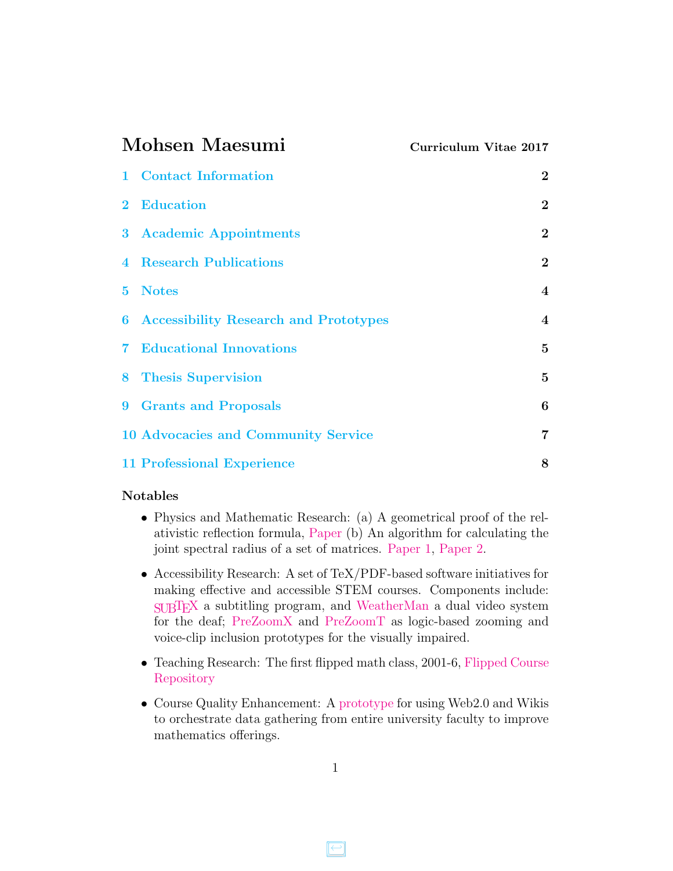<span id="page-0-0"></span>

| Mohsen Maesumi |                                              | Curriculum Vitae 2017   |
|----------------|----------------------------------------------|-------------------------|
| $\mathbf{1}$   | <b>Contact Information</b>                   | $\bf{2}$                |
| $\bf{2}$       | <b>Education</b>                             | $\boldsymbol{2}$        |
|                | 3 Academic Appointments                      | $\overline{2}$          |
|                | <b>4</b> Research Publications               | $\overline{2}$          |
| 5.             | <b>Notes</b>                                 | $\overline{\mathbf{4}}$ |
| 6              | <b>Accessibility Research and Prototypes</b> | $\boldsymbol{4}$        |
| $\mathbf 7$    | <b>Educational Innovations</b>               | $\mathbf{5}$            |
| 8.             | <b>Thesis Supervision</b>                    | $\bf{5}$                |
| 9              | <b>Grants and Proposals</b>                  | $6\phantom{1}6$         |
|                | <b>10 Advocacies and Community Service</b>   | $\overline{7}$          |
|                | <b>11 Professional Experience</b>            | 8                       |

#### Notables

- Physics and Mathematic Research: (a) A geometrical proof of the relativistic reflection formula, [Paper](https://arxiv.org/abs/1609.00741) (b) An algorithm for calculating the joint spectral radius of a set of matrices. [Paper 1,](http://www.sciencedirect.com/science/article/pii/S0024379507004521) [Paper 2.](http://www.math.lamar.edu/faculty/maesumi/papers/Optimum.pdf)
- Accessibility Research: A set of TeX/PDF-based software initiatives for making effective and accessible STEM courses. Components include: [SUBTEX](http://www.math.lamar.edu/faculty/maesumi/Resume/subtex.pdf) a subtitling program, and [WeatherMan](http://www.math.lamar.edu/faculty/maesumi/Resume/weatherman.pdf) a dual video system for the deaf; [PreZoomX](http://www.math.lamar.edu/faculty/maesumi/Resume/prezoomX.pdf) and [PreZoomT](http://www.math.lamar.edu/faculty/maesumi/Resume/prezoomT.pdf) as logic-based zooming and voice-clip inclusion prototypes for the visually impaired.
- Teaching Research: The first flipped math class, 2001-6, [Flipped Course](http://www.math.lamar.edu/faculty/maesumi/Syllabi.html) [Repository](http://www.math.lamar.edu/faculty/maesumi/Syllabi.html)
- Course Quality Enhancement: A [prototype](http://uccmath.pbworks.com) for using Web2.0 and Wikis to orchestrate data gathering from entire university faculty to improve mathematics offerings.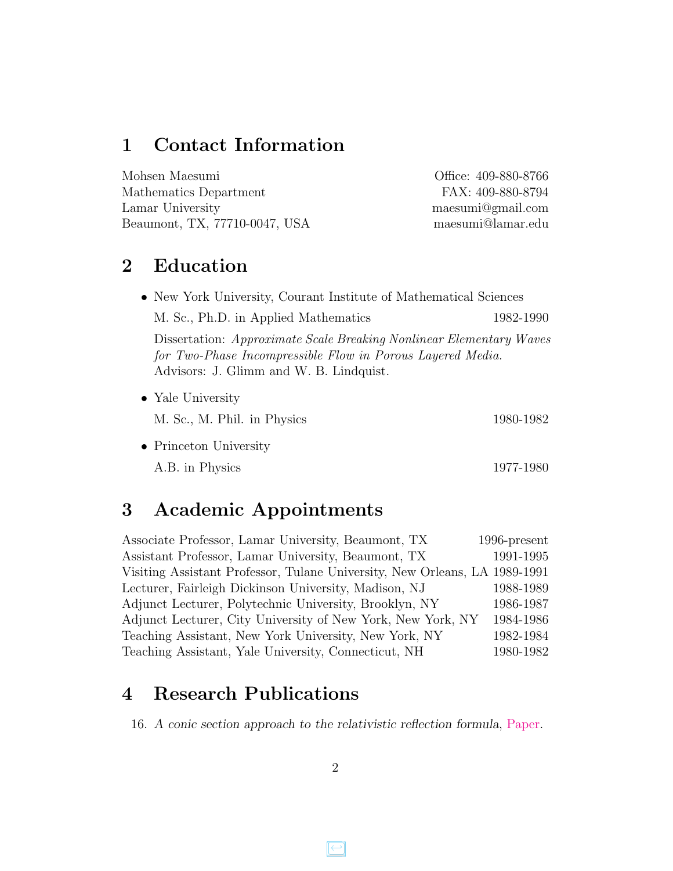## <span id="page-1-0"></span>1 Contact Information

| Mohsen Maesumi                | Office: 409-880-8766 |
|-------------------------------|----------------------|
| Mathematics Department        | FAX: 409-880-8794    |
| Lamar University              | maesumi@gmail.com    |
| Beaumont, TX, 77710-0047, USA | maesumi@lamar.edu    |

## <span id="page-1-1"></span>2 Education

| • New York University, Courant Institute of Mathematical Sciences                                                                                                            |           |
|------------------------------------------------------------------------------------------------------------------------------------------------------------------------------|-----------|
| M. Sc., Ph.D. in Applied Mathematics                                                                                                                                         | 1982-1990 |
| Dissertation: Approximate Scale Breaking Nonlinear Elementary Waves<br>for Two-Phase Incompressible Flow in Porous Layered Media.<br>Advisors: J. Glimm and W. B. Lindquist. |           |
| • Yale University                                                                                                                                                            |           |
| M. Sc., M. Phil. in Physics                                                                                                                                                  | 1980-1982 |
| • Princeton University                                                                                                                                                       |           |

A.B. in Physics 1977-1980

## <span id="page-1-2"></span>3 Academic Appointments

| Associate Professor, Lamar University, Beaumont, TX                        | 1996-present |
|----------------------------------------------------------------------------|--------------|
| Assistant Professor, Lamar University, Beaumont, TX                        | 1991-1995    |
| Visiting Assistant Professor, Tulane University, New Orleans, LA 1989-1991 |              |
| Lecturer, Fairleigh Dickinson University, Madison, NJ                      | 1988-1989    |
| Adjunct Lecturer, Polytechnic University, Brooklyn, NY                     | 1986-1987    |
| Adjunct Lecturer, City University of New York, New York, NY                | 1984-1986    |
| Teaching Assistant, New York University, New York, NY                      | 1982-1984    |
| Teaching Assistant, Yale University, Connecticut, NH                       | 1980-1982    |
|                                                                            |              |

# <span id="page-1-3"></span>4 Research Publications

16. A conic section approach to the relativistic reflection formula, [Paper.](https://arxiv.org/abs/1609.00741)

 $\left[\rightleftarrow\right]$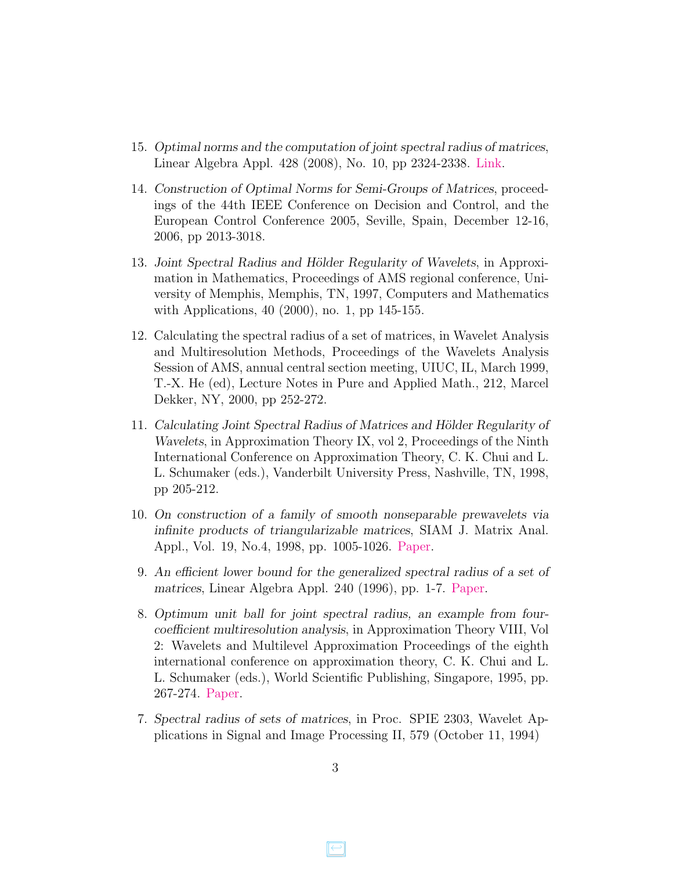- 15. Optimal norms and the computation of joint spectral radius of matrices, Linear Algebra Appl. 428 (2008), No. 10, pp 2324-2338. [Link.](http://www.sciencedirect.com/science/article/pii/S0024379507004521)
- 14. Construction of Optimal Norms for Semi-Groups of Matrices, proceedings of the 44th IEEE Conference on Decision and Control, and the European Control Conference 2005, Seville, Spain, December 12-16, 2006, pp 2013-3018.
- 13. Joint Spectral Radius and Hölder Regularity of Wavelets, in Approximation in Mathematics, Proceedings of AMS regional conference, University of Memphis, Memphis, TN, 1997, Computers and Mathematics with Applications, 40 (2000), no. 1, pp 145-155.
- 12. Calculating the spectral radius of a set of matrices, in Wavelet Analysis and Multiresolution Methods, Proceedings of the Wavelets Analysis Session of AMS, annual central section meeting, UIUC, IL, March 1999, T.-X. He (ed), Lecture Notes in Pure and Applied Math., 212, Marcel Dekker, NY, 2000, pp 252-272.
- 11. Calculating Joint Spectral Radius of Matrices and Hölder Regularity of Wavelets, in Approximation Theory IX, vol 2, Proceedings of the Ninth International Conference on Approximation Theory, C. K. Chui and L. L. Schumaker (eds.), Vanderbilt University Press, Nashville, TN, 1998, pp 205-212.
- 10. On construction of a family of smooth nonseparable prewavelets via infinite products of triangularizable matrices, SIAM J. Matrix Anal. Appl., Vol. 19, No.4, 1998, pp. 1005-1026. [Paper.](http://www.math.lamar.edu/faculty/maesumi/Papers/SIAMwavelet.pdf)
- 9. An efficient lower bound for the generalized spectral radius of a set of matrices, Linear Algebra Appl. 240 (1996), pp. 1-7. [Paper.](http://www.math.lamar.edu/faculty/maesumi/Papers/EfficientJSR.pdf)
- 8. Optimum unit ball for joint spectral radius, an example from fourcoefficient multiresolution analysis, in Approximation Theory VIII, Vol 2: Wavelets and Multilevel Approximation Proceedings of the eighth international conference on approximation theory, C. K. Chui and L. L. Schumaker (eds.), World Scientific Publishing, Singapore, 1995, pp. 267-274. [Paper.](http://www.math.lamar.edu/faculty/maesumi/papers/Optimum.pdf)
- 7. Spectral radius of sets of matrices, in Proc. SPIE 2303, Wavelet Applications in Signal and Image Processing II, 579 (October 11, 1994)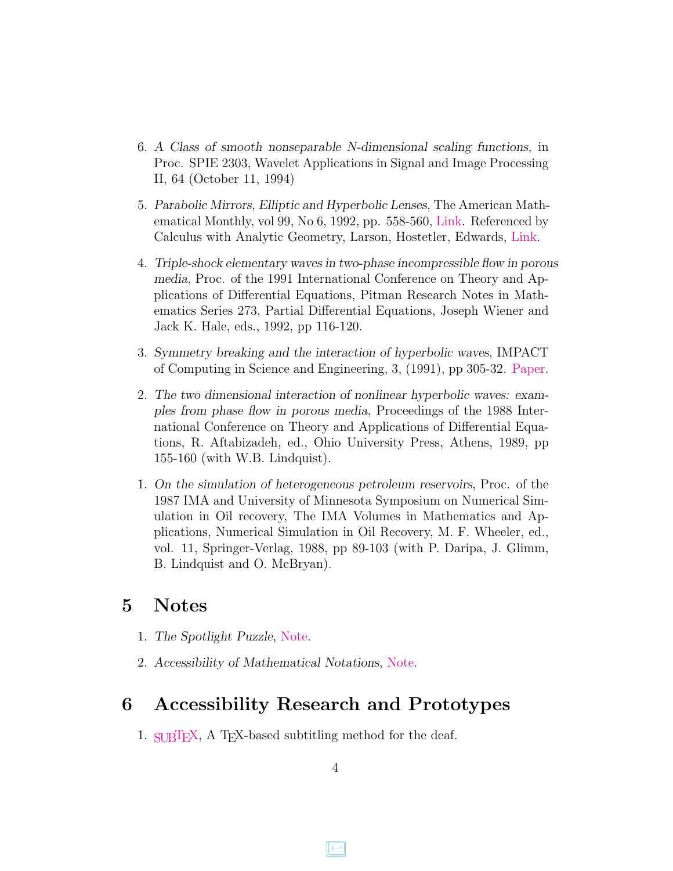- 6. A Class of smooth nonseparable N-dimensional scaling functions, in Proc. SPIE 2303, Wavelet Applications in Signal and Image Processing II, 64 (October 11, 1994)
- 5. Parabolic Mirrors, Elliptic and Hyperbolic Lenses, The American Mathematical Monthly, vol 99, No 6, 1992, pp. 558-560, [Link.](http://www.jstor.org/stable/2324064) Referenced by Calculus with Analytic Geometry, Larson, Hostetler, Edwards, [Link.](https://books.google.com/books?id=2UkLAAAAQBAJ&pg=PA687&lpg=PA687&dq=parabolic+mirrors,+elliptic+and+hyperbolic+lenses++larson+calculus&source=bl&ots=YX3gSmnDZn&sig=V25JSSJSWzGZxzJRRUUEZQi0NlI&hl=en&sa=X&ved=0ahUKEwji44iv-dvRAhWp6oMKHRuXD8wQ6AEIIjAC#v=onepage&q=parabolic%20mirrors%2C%20elliptic%20and%20hyperbolic%20lenses%20%20larson%20calculus&f=false)
- 4. Triple-shock elementary waves in two-phase incompressible flow in porous media, Proc. of the 1991 International Conference on Theory and Applications of Differential Equations, Pitman Research Notes in Mathematics Series 273, Partial Differential Equations, Joseph Wiener and Jack K. Hale, eds., 1992, pp 116-120.
- 3. Symmetry breaking and the interaction of hyperbolic waves, IMPACT of Computing in Science and Engineering, 3, (1991), pp 305-32. [Paper.](http://www.math.lamar.edu/faculty/maesumi/papers/Impact.pdf)
- 2. The two dimensional interaction of nonlinear hyperbolic waves: examples from phase flow in porous media, Proceedings of the 1988 International Conference on Theory and Applications of Differential Equations, R. Aftabizadeh, ed., Ohio University Press, Athens, 1989, pp 155-160 (with W.B. Lindquist).
- 1. On the simulation of heterogeneous petroleum reservoirs, Proc. of the 1987 IMA and University of Minnesota Symposium on Numerical Simulation in Oil recovery, The IMA Volumes in Mathematics and Applications, Numerical Simulation in Oil Recovery, M. F. Wheeler, ed., vol. 11, Springer-Verlag, 1988, pp 89-103 (with P. Daripa, J. Glimm, B. Lindquist and O. McBryan).

### <span id="page-3-0"></span>5 Notes

- 1. The Spotlight Puzzle, [Note.](http://www.math.lamar.edu/faculty/maesumi/Papers/Puzzle.pdf)
- 2. Accessibility of Mathematical Notations, [Note.](http://www.math.lamar.edu/faculty/maesumi/Papers/MathNotations.pdf)

## <span id="page-3-1"></span>6 Accessibility Research and Prototypes

1. [SUBTEX,](http://www.math.lamar.edu/faculty/maesumi/Resume/subtex.pdf) A TEX-based subtitling method for the deaf.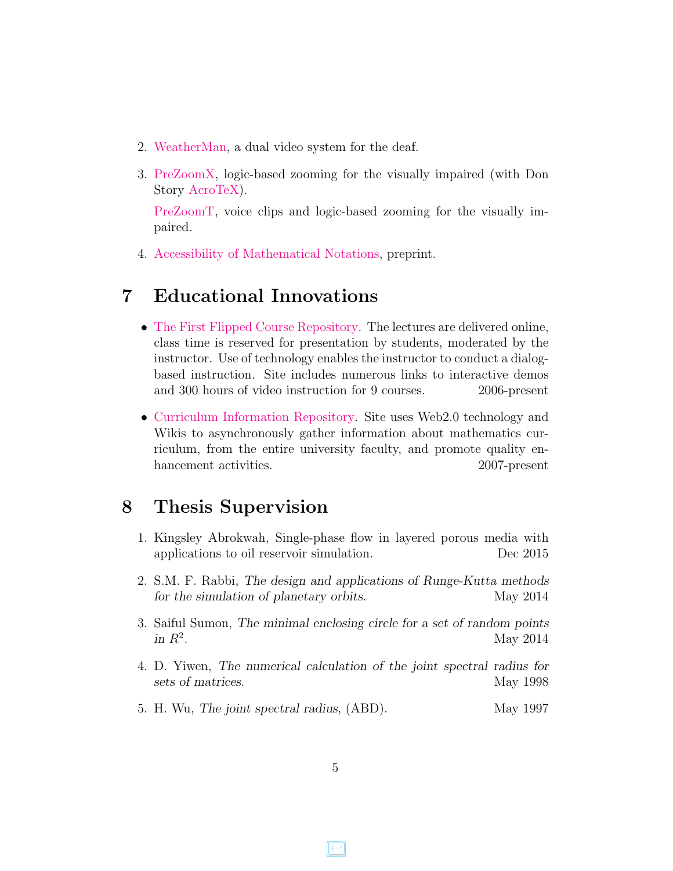- 2. [WeatherMan,](http://www.math.lamar.edu/faculty/maesumi/Resume/weatherman.pdf) a dual video system for the deaf.
- 3. [PreZoomX,](http://www.math.lamar.edu/faculty/maesumi/Resume/prezoomX.pdf) logic-based zooming for the visually impaired (with Don Story [AcroTeX\)](http://Acrotex.net).

[PreZoomT,](http://www.math.lamar.edu/faculty/maesumi/Resume/prezoomT.pdf) voice clips and logic-based zooming for the visually impaired.

4. [Accessibility of Mathematical Notations,](http://www.math.lamar.edu/faculty/maesumi/Resume/MathNotations.pdf) preprint.

## <span id="page-4-0"></span>7 Educational Innovations

- [The First Flipped Course Repository.](http://www.math.lamar.edu/faculty/maesumi/MathExpo.pdf) The lectures are delivered online, class time is reserved for presentation by students, moderated by the instructor. Use of technology enables the instructor to conduct a dialogbased instruction. Site includes numerous links to interactive demos and 300 hours of video instruction for 9 courses. 2006-present
- [Curriculum Information Repository.](http://uccmath.pbworks.com) Site uses Web2.0 technology and Wikis to asynchronously gather information about mathematics curriculum, from the entire university faculty, and promote quality enhancement activities. 2007-present

## <span id="page-4-1"></span>8 Thesis Supervision

- 1. Kingsley Abrokwah, Single-phase flow in layered porous media with applications to oil reservoir simulation. Dec 2015
- 2. S.M. F. Rabbi, The design and applications of Runge-Kutta methods for the simulation of planetary orbits. May 2014
- 3. Saiful Sumon, The minimal enclosing circle for a set of random points in  $R^2$ . . May 2014
- 4. D. Yiwen, The numerical calculation of the joint spectral radius for sets of matrices. May 1998
- 5. H. Wu, The joint spectral radius, (ABD). May 1997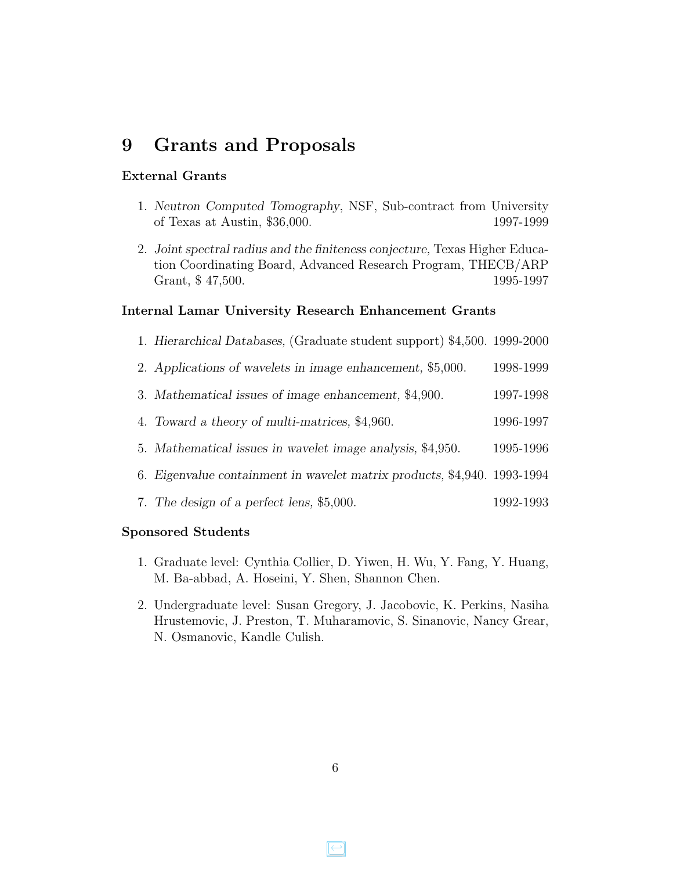### <span id="page-5-0"></span>9 Grants and Proposals

#### External Grants

- 1. Neutron Computed Tomography, NSF, Sub-contract from University of Texas at Austin, \$36,000. 1997-1999
- 2. Joint spectral radius and the finiteness conjecture, Texas Higher Education Coordinating Board, Advanced Research Program, THECB/ARP Grant, \$47,500. 1995-1997

#### Internal Lamar University Research Enhancement Grants

- 1. Hierarchical Databases, (Graduate student support) \$4,500. 1999-2000
- 2. Applications of wavelets in image enhancement, \$5,000. 1998-1999
- 3. Mathematical issues of image enhancement, \$4,900. 1997-1998
- 4. Toward a theory of multi-matrices, \$4,960. 1996-1997
- 5. Mathematical issues in wavelet image analysis, \$4,950. 1995-1996
- 6. Eigenvalue containment in wavelet matrix products, \$4,940. 1993-1994
- 7. The design of a perfect lens, \$5,000. 1992-1993

#### Sponsored Students

- 1. Graduate level: Cynthia Collier, D. Yiwen, H. Wu, Y. Fang, Y. Huang, M. Ba-abbad, A. Hoseini, Y. Shen, Shannon Chen.
- 2. Undergraduate level: Susan Gregory, J. Jacobovic, K. Perkins, Nasiha Hrustemovic, J. Preston, T. Muharamovic, S. Sinanovic, Nancy Grear, N. Osmanovic, Kandle Culish.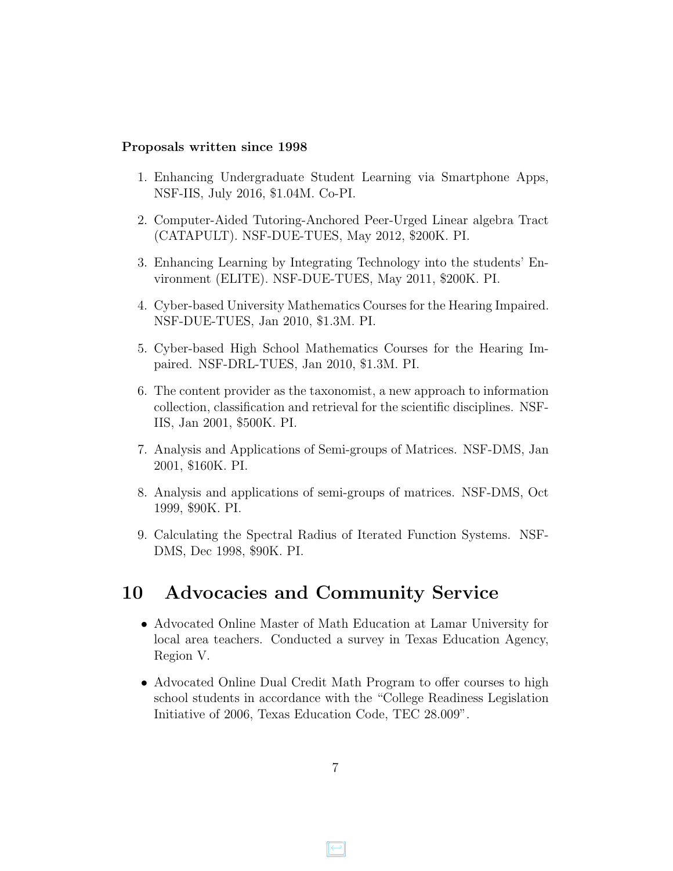#### Proposals written since 1998

- 1. Enhancing Undergraduate Student Learning via Smartphone Apps, NSF-IIS, July 2016, \$1.04M. Co-PI.
- 2. Computer-Aided Tutoring-Anchored Peer-Urged Linear algebra Tract (CATAPULT). NSF-DUE-TUES, May 2012, \$200K. PI.
- 3. Enhancing Learning by Integrating Technology into the students' Environment (ELITE). NSF-DUE-TUES, May 2011, \$200K. PI.
- 4. Cyber-based University Mathematics Courses for the Hearing Impaired. NSF-DUE-TUES, Jan 2010, \$1.3M. PI.
- 5. Cyber-based High School Mathematics Courses for the Hearing Impaired. NSF-DRL-TUES, Jan 2010, \$1.3M. PI.
- 6. The content provider as the taxonomist, a new approach to information collection, classification and retrieval for the scientific disciplines. NSF-IIS, Jan 2001, \$500K. PI.
- 7. Analysis and Applications of Semi-groups of Matrices. NSF-DMS, Jan 2001, \$160K. PI.
- 8. Analysis and applications of semi-groups of matrices. NSF-DMS, Oct 1999, \$90K. PI.
- 9. Calculating the Spectral Radius of Iterated Function Systems. NSF-DMS, Dec 1998, \$90K. PI.

#### <span id="page-6-0"></span>10 Advocacies and Community Service

- Advocated Online Master of Math Education at Lamar University for local area teachers. Conducted a survey in Texas Education Agency, Region V.
- Advocated Online Dual Credit Math Program to offer courses to high school students in accordance with the "College Readiness Legislation Initiative of 2006, Texas Education Code, TEC 28.009".